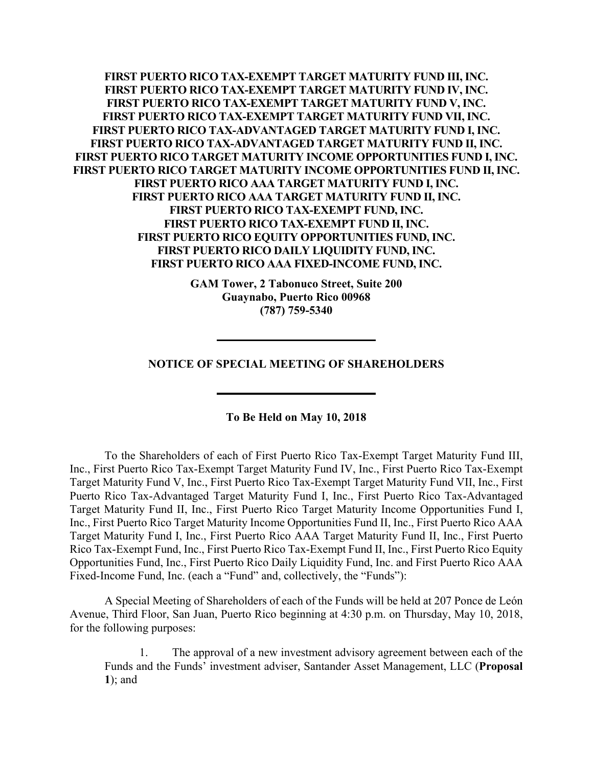**FIRST PUERTO RICO TAX-EXEMPT TARGET MATURITY FUND III, INC. FIRST PUERTO RICO TAX-EXEMPT TARGET MATURITY FUND IV, INC. FIRST PUERTO RICO TAX-EXEMPT TARGET MATURITY FUND V, INC. FIRST PUERTO RICO TAX-EXEMPT TARGET MATURITY FUND VII, INC. FIRST PUERTO RICO TAX-ADVANTAGED TARGET MATURITY FUND I, INC. FIRST PUERTO RICO TAX-ADVANTAGED TARGET MATURITY FUND II, INC. FIRST PUERTO RICO TARGET MATURITY INCOME OPPORTUNITIES FUND I, INC. FIRST PUERTO RICO TARGET MATURITY INCOME OPPORTUNITIES FUND II, INC. FIRST PUERTO RICO AAA TARGET MATURITY FUND I, INC. FIRST PUERTO RICO AAA TARGET MATURITY FUND II, INC. FIRST PUERTO RICO TAX-EXEMPT FUND, INC. FIRST PUERTO RICO TAX-EXEMPT FUND II, INC. FIRST PUERTO RICO EQUITY OPPORTUNITIES FUND, INC. FIRST PUERTO RICO DAILY LIQUIDITY FUND, INC. FIRST PUERTO RICO AAA FIXED-INCOME FUND, INC.** 

> **GAM Tower, 2 Tabonuco Street, Suite 200 Guaynabo, Puerto Rico 00968 (787) 759-5340**

**NOTICE OF SPECIAL MEETING OF SHAREHOLDERS** 

**To Be Held on May 10, 2018** 

To the Shareholders of each of First Puerto Rico Tax-Exempt Target Maturity Fund III, Inc., First Puerto Rico Tax-Exempt Target Maturity Fund IV, Inc., First Puerto Rico Tax-Exempt Target Maturity Fund V, Inc., First Puerto Rico Tax-Exempt Target Maturity Fund VII, Inc., First Puerto Rico Tax-Advantaged Target Maturity Fund I, Inc., First Puerto Rico Tax-Advantaged Target Maturity Fund II, Inc., First Puerto Rico Target Maturity Income Opportunities Fund I, Inc., First Puerto Rico Target Maturity Income Opportunities Fund II, Inc., First Puerto Rico AAA Target Maturity Fund I, Inc., First Puerto Rico AAA Target Maturity Fund II, Inc., First Puerto Rico Tax-Exempt Fund, Inc., First Puerto Rico Tax-Exempt Fund II, Inc., First Puerto Rico Equity Opportunities Fund, Inc., First Puerto Rico Daily Liquidity Fund, Inc. and First Puerto Rico AAA Fixed-Income Fund, Inc. (each a "Fund" and, collectively, the "Funds"):

A Special Meeting of Shareholders of each of the Funds will be held at 207 Ponce de León Avenue, Third Floor, San Juan, Puerto Rico beginning at 4:30 p.m. on Thursday, May 10, 2018, for the following purposes:

1. The approval of a new investment advisory agreement between each of the Funds and the Funds' investment adviser, Santander Asset Management, LLC (**Proposal 1**); and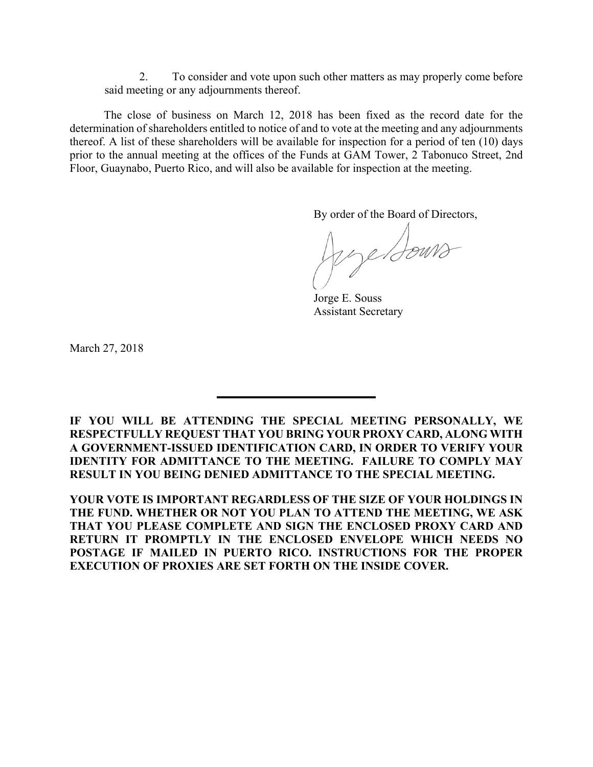2. To consider and vote upon such other matters as may properly come before said meeting or any adjournments thereof.

The close of business on March 12, 2018 has been fixed as the record date for the determination of shareholders entitled to notice of and to vote at the meeting and any adjournments thereof. A list of these shareholders will be available for inspection for a period of ten (10) days prior to the annual meeting at the offices of the Funds at GAM Tower, 2 Tabonuco Street, 2nd Floor, Guaynabo, Puerto Rico, and will also be available for inspection at the meeting.

By order of the Board of Directors,

pye Bours

Jorge E. Souss Assistant Secretary

March 27, 2018

**IF YOU WILL BE ATTENDING THE SPECIAL MEETING PERSONALLY, WE RESPECTFULLY REQUEST THAT YOU BRING YOUR PROXY CARD, ALONG WITH A GOVERNMENT-ISSUED IDENTIFICATION CARD, IN ORDER TO VERIFY YOUR IDENTITY FOR ADMITTANCE TO THE MEETING. FAILURE TO COMPLY MAY RESULT IN YOU BEING DENIED ADMITTANCE TO THE SPECIAL MEETING.** 

**YOUR VOTE IS IMPORTANT REGARDLESS OF THE SIZE OF YOUR HOLDINGS IN THE FUND. WHETHER OR NOT YOU PLAN TO ATTEND THE MEETING, WE ASK THAT YOU PLEASE COMPLETE AND SIGN THE ENCLOSED PROXY CARD AND RETURN IT PROMPTLY IN THE ENCLOSED ENVELOPE WHICH NEEDS NO POSTAGE IF MAILED IN PUERTO RICO. INSTRUCTIONS FOR THE PROPER EXECUTION OF PROXIES ARE SET FORTH ON THE INSIDE COVER.**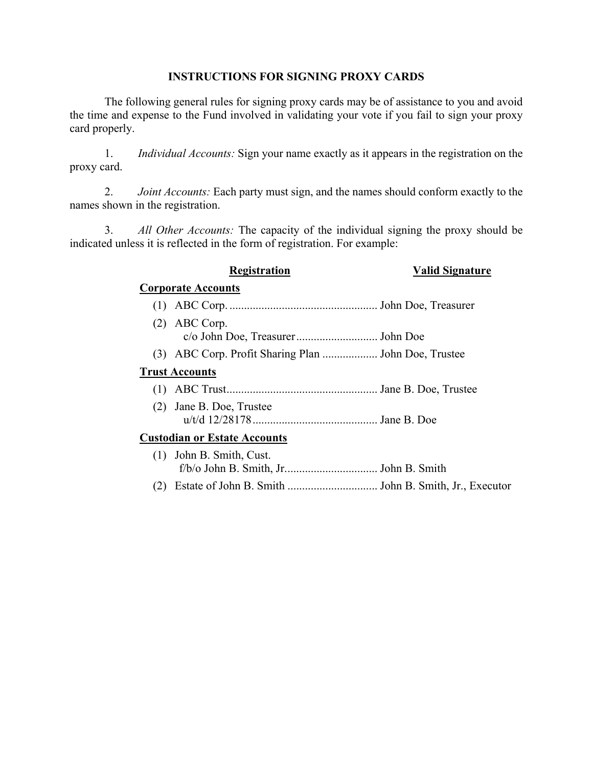## **INSTRUCTIONS FOR SIGNING PROXY CARDS**

The following general rules for signing proxy cards may be of assistance to you and avoid the time and expense to the Fund involved in validating your vote if you fail to sign your proxy card properly.

1. *Individual Accounts:* Sign your name exactly as it appears in the registration on the proxy card.

2. *Joint Accounts:* Each party must sign, and the names should conform exactly to the names shown in the registration.

3. *All Other Accounts:* The capacity of the individual signing the proxy should be indicated unless it is reflected in the form of registration. For example:

|     | <b>Registration</b>                                  | <b>Valid Signature</b> |
|-----|------------------------------------------------------|------------------------|
|     | <b>Corporate Accounts</b>                            |                        |
| (1) |                                                      |                        |
| (2) | ABC Corp.                                            |                        |
|     | (3) ABC Corp. Profit Sharing Plan  John Doe, Trustee |                        |
|     | <b>Trust Accounts</b>                                |                        |
|     |                                                      |                        |
|     | (2) Jane B. Doe, Trustee                             |                        |
|     | <b>Custodian or Estate Accounts</b>                  |                        |
|     | (1) John B. Smith, Cust.                             |                        |
|     |                                                      |                        |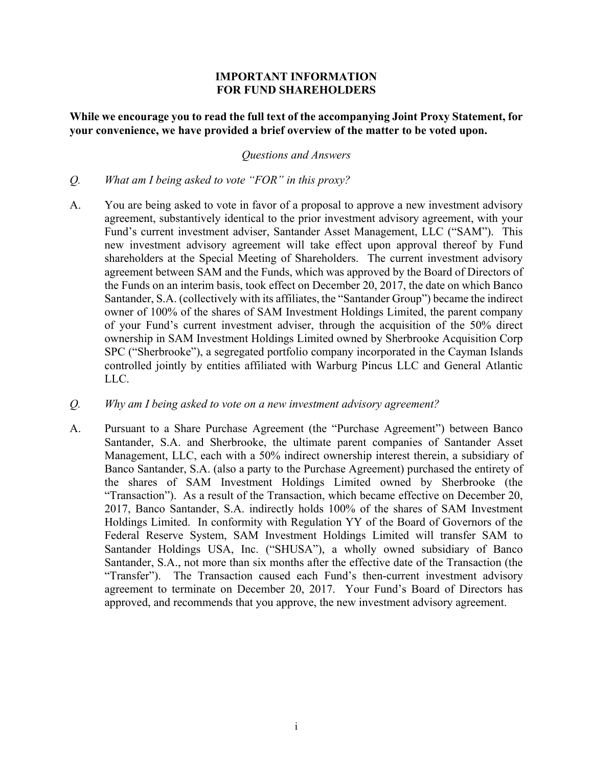## **IMPORTANT INFORMATION FOR FUND SHAREHOLDERS**

## **While we encourage you to read the full text of the accompanying Joint Proxy Statement, for your convenience, we have provided a brief overview of the matter to be voted upon.**

#### *Questions and Answers*

- *Q. What am I being asked to vote "FOR" in this proxy?*
- A. You are being asked to vote in favor of a proposal to approve a new investment advisory agreement, substantively identical to the prior investment advisory agreement, with your Fund's current investment adviser, Santander Asset Management, LLC ("SAM"). This new investment advisory agreement will take effect upon approval thereof by Fund shareholders at the Special Meeting of Shareholders. The current investment advisory agreement between SAM and the Funds, which was approved by the Board of Directors of the Funds on an interim basis, took effect on December 20, 2017, the date on which Banco Santander, S.A. (collectively with its affiliates, the "Santander Group") became the indirect owner of 100% of the shares of SAM Investment Holdings Limited, the parent company of your Fund's current investment adviser, through the acquisition of the 50% direct ownership in SAM Investment Holdings Limited owned by Sherbrooke Acquisition Corp SPC ("Sherbrooke"), a segregated portfolio company incorporated in the Cayman Islands controlled jointly by entities affiliated with Warburg Pincus LLC and General Atlantic LLC.
- *Q. Why am I being asked to vote on a new investment advisory agreement?*
- A. Pursuant to a Share Purchase Agreement (the "Purchase Agreement") between Banco Santander, S.A. and Sherbrooke, the ultimate parent companies of Santander Asset Management, LLC, each with a 50% indirect ownership interest therein, a subsidiary of Banco Santander, S.A. (also a party to the Purchase Agreement) purchased the entirety of the shares of SAM Investment Holdings Limited owned by Sherbrooke (the "Transaction"). As a result of the Transaction, which became effective on December 20, 2017, Banco Santander, S.A. indirectly holds 100% of the shares of SAM Investment Holdings Limited. In conformity with Regulation YY of the Board of Governors of the Federal Reserve System, SAM Investment Holdings Limited will transfer SAM to Santander Holdings USA, Inc. ("SHUSA"), a wholly owned subsidiary of Banco Santander, S.A., not more than six months after the effective date of the Transaction (the "Transfer"). The Transaction caused each Fund's then-current investment advisory agreement to terminate on December 20, 2017. Your Fund's Board of Directors has approved, and recommends that you approve, the new investment advisory agreement.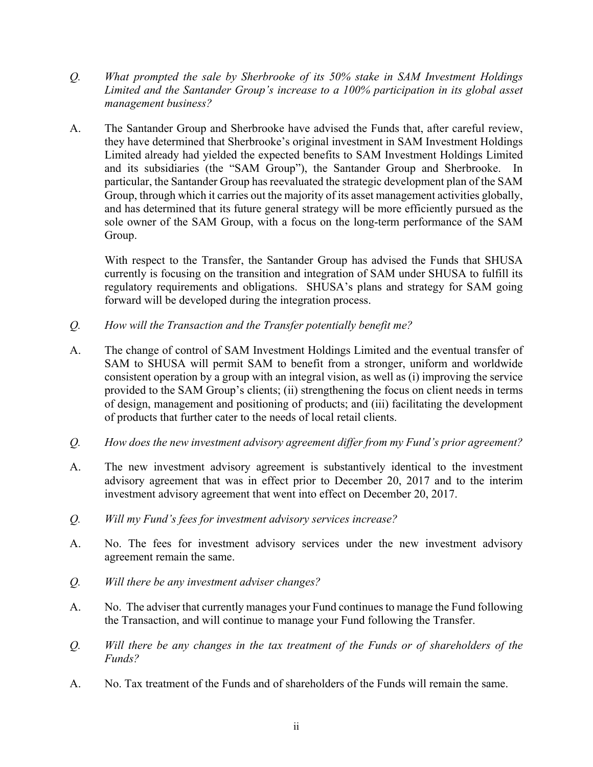- *Q. What prompted the sale by Sherbrooke of its 50% stake in SAM Investment Holdings Limited and the Santander Group's increase to a 100% participation in its global asset management business?*
- A. The Santander Group and Sherbrooke have advised the Funds that, after careful review, they have determined that Sherbrooke's original investment in SAM Investment Holdings Limited already had yielded the expected benefits to SAM Investment Holdings Limited and its subsidiaries (the "SAM Group"), the Santander Group and Sherbrooke. In particular, the Santander Group has reevaluated the strategic development plan of the SAM Group, through which it carries out the majority of its asset management activities globally, and has determined that its future general strategy will be more efficiently pursued as the sole owner of the SAM Group, with a focus on the long-term performance of the SAM Group.

 With respect to the Transfer, the Santander Group has advised the Funds that SHUSA currently is focusing on the transition and integration of SAM under SHUSA to fulfill its regulatory requirements and obligations. SHUSA's plans and strategy for SAM going forward will be developed during the integration process.

- *Q. How will the Transaction and the Transfer potentially benefit me?*
- A. The change of control of SAM Investment Holdings Limited and the eventual transfer of SAM to SHUSA will permit SAM to benefit from a stronger, uniform and worldwide consistent operation by a group with an integral vision, as well as (i) improving the service provided to the SAM Group's clients; (ii) strengthening the focus on client needs in terms of design, management and positioning of products; and (iii) facilitating the development of products that further cater to the needs of local retail clients.
- *Q. How does the new investment advisory agreement differ from my Fund's prior agreement?*
- A. The new investment advisory agreement is substantively identical to the investment advisory agreement that was in effect prior to December 20, 2017 and to the interim investment advisory agreement that went into effect on December 20, 2017.
- *Q. Will my Fund's fees for investment advisory services increase?*
- A. No. The fees for investment advisory services under the new investment advisory agreement remain the same.
- *Q. Will there be any investment adviser changes?*
- A. No. The adviser that currently manages your Fund continues to manage the Fund following the Transaction, and will continue to manage your Fund following the Transfer.
- *Q. Will there be any changes in the tax treatment of the Funds or of shareholders of the Funds?*
- A. No. Tax treatment of the Funds and of shareholders of the Funds will remain the same.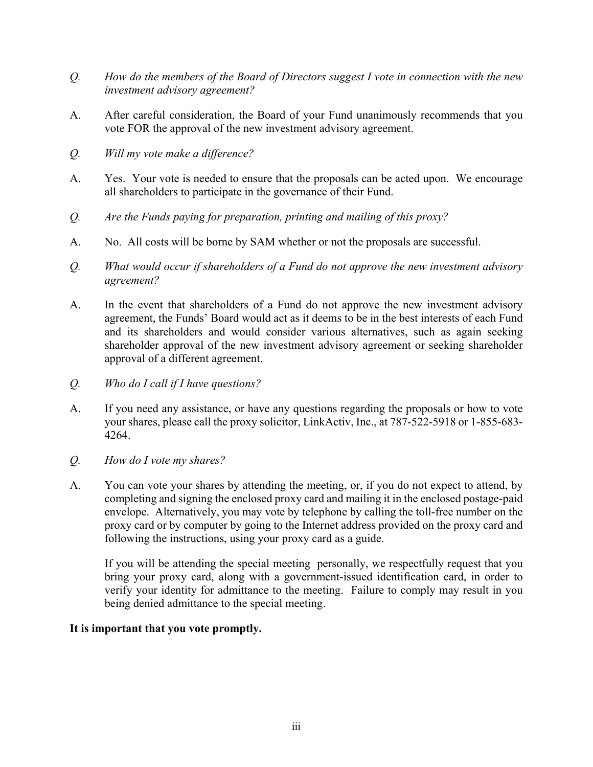- *Q. How do the members of the Board of Directors suggest I vote in connection with the new investment advisory agreement?*
- A. After careful consideration, the Board of your Fund unanimously recommends that you vote FOR the approval of the new investment advisory agreement.
- *Q. Will my vote make a difference?*
- A. Yes. Your vote is needed to ensure that the proposals can be acted upon. We encourage all shareholders to participate in the governance of their Fund.
- *Q. Are the Funds paying for preparation, printing and mailing of this proxy?*
- A. No. All costs will be borne by SAM whether or not the proposals are successful.
- *Q. What would occur if shareholders of a Fund do not approve the new investment advisory agreement?*
- A. In the event that shareholders of a Fund do not approve the new investment advisory agreement, the Funds' Board would act as it deems to be in the best interests of each Fund and its shareholders and would consider various alternatives, such as again seeking shareholder approval of the new investment advisory agreement or seeking shareholder approval of a different agreement.
- *Q. Who do I call if I have questions?*
- A. If you need any assistance, or have any questions regarding the proposals or how to vote your shares, please call the proxy solicitor, LinkActiv, Inc., at 787-522-5918 or 1-855-683- 4264.
- *Q. How do I vote my shares?*
- A. You can vote your shares by attending the meeting, or, if you do not expect to attend, by completing and signing the enclosed proxy card and mailing it in the enclosed postage-paid envelope. Alternatively, you may vote by telephone by calling the toll-free number on the proxy card or by computer by going to the Internet address provided on the proxy card and following the instructions, using your proxy card as a guide.

 If you will be attending the special meeting personally, we respectfully request that you bring your proxy card, along with a government-issued identification card, in order to verify your identity for admittance to the meeting. Failure to comply may result in you being denied admittance to the special meeting.

## **It is important that you vote promptly.**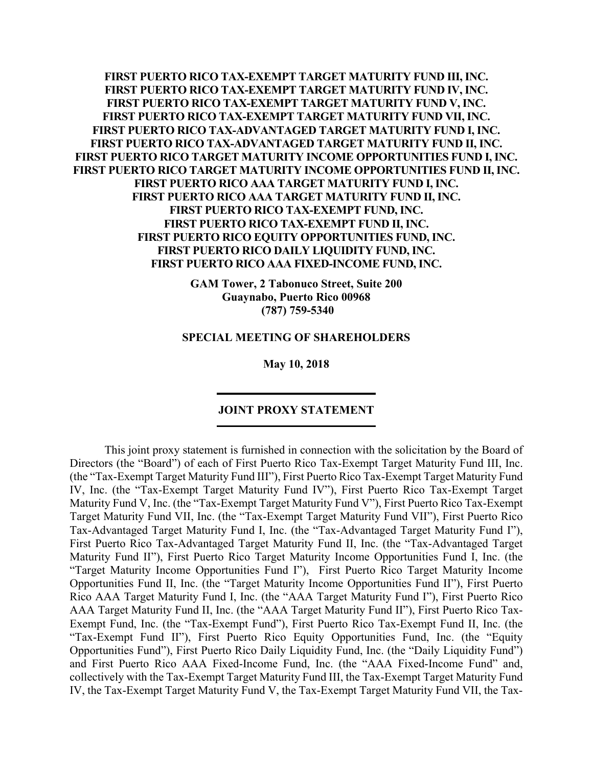**FIRST PUERTO RICO TAX-EXEMPT TARGET MATURITY FUND III, INC. FIRST PUERTO RICO TAX-EXEMPT TARGET MATURITY FUND IV, INC. FIRST PUERTO RICO TAX-EXEMPT TARGET MATURITY FUND V, INC. FIRST PUERTO RICO TAX-EXEMPT TARGET MATURITY FUND VII, INC. FIRST PUERTO RICO TAX-ADVANTAGED TARGET MATURITY FUND I, INC. FIRST PUERTO RICO TAX-ADVANTAGED TARGET MATURITY FUND II, INC. FIRST PUERTO RICO TARGET MATURITY INCOME OPPORTUNITIES FUND I, INC. FIRST PUERTO RICO TARGET MATURITY INCOME OPPORTUNITIES FUND II, INC. FIRST PUERTO RICO AAA TARGET MATURITY FUND I, INC. FIRST PUERTO RICO AAA TARGET MATURITY FUND II, INC. FIRST PUERTO RICO TAX-EXEMPT FUND, INC. FIRST PUERTO RICO TAX-EXEMPT FUND II, INC. FIRST PUERTO RICO EQUITY OPPORTUNITIES FUND, INC. FIRST PUERTO RICO DAILY LIQUIDITY FUND, INC. FIRST PUERTO RICO AAA FIXED-INCOME FUND, INC.** 

> **GAM Tower, 2 Tabonuco Street, Suite 200 Guaynabo, Puerto Rico 00968 (787) 759-5340**

#### **SPECIAL MEETING OF SHAREHOLDERS**

**May 10, 2018** 

## **JOINT PROXY STATEMENT**

This joint proxy statement is furnished in connection with the solicitation by the Board of Directors (the "Board") of each of First Puerto Rico Tax-Exempt Target Maturity Fund III, Inc. (the "Tax-Exempt Target Maturity Fund III"), First Puerto Rico Tax-Exempt Target Maturity Fund IV, Inc. (the "Tax-Exempt Target Maturity Fund IV"), First Puerto Rico Tax-Exempt Target Maturity Fund V, Inc. (the "Tax-Exempt Target Maturity Fund V"), First Puerto Rico Tax-Exempt Target Maturity Fund VII, Inc. (the "Tax-Exempt Target Maturity Fund VII"), First Puerto Rico Tax-Advantaged Target Maturity Fund I, Inc. (the "Tax-Advantaged Target Maturity Fund I"), First Puerto Rico Tax-Advantaged Target Maturity Fund II, Inc. (the "Tax-Advantaged Target Maturity Fund II"), First Puerto Rico Target Maturity Income Opportunities Fund I, Inc. (the "Target Maturity Income Opportunities Fund I"), First Puerto Rico Target Maturity Income Opportunities Fund II, Inc. (the "Target Maturity Income Opportunities Fund II"), First Puerto Rico AAA Target Maturity Fund I, Inc. (the "AAA Target Maturity Fund I"), First Puerto Rico AAA Target Maturity Fund II, Inc. (the "AAA Target Maturity Fund II"), First Puerto Rico Tax-Exempt Fund, Inc. (the "Tax-Exempt Fund"), First Puerto Rico Tax-Exempt Fund II, Inc. (the "Tax-Exempt Fund II"), First Puerto Rico Equity Opportunities Fund, Inc. (the "Equity Opportunities Fund"), First Puerto Rico Daily Liquidity Fund, Inc. (the "Daily Liquidity Fund") and First Puerto Rico AAA Fixed-Income Fund, Inc. (the "AAA Fixed-Income Fund" and, collectively with the Tax-Exempt Target Maturity Fund III, the Tax-Exempt Target Maturity Fund IV, the Tax-Exempt Target Maturity Fund V, the Tax-Exempt Target Maturity Fund VII, the Tax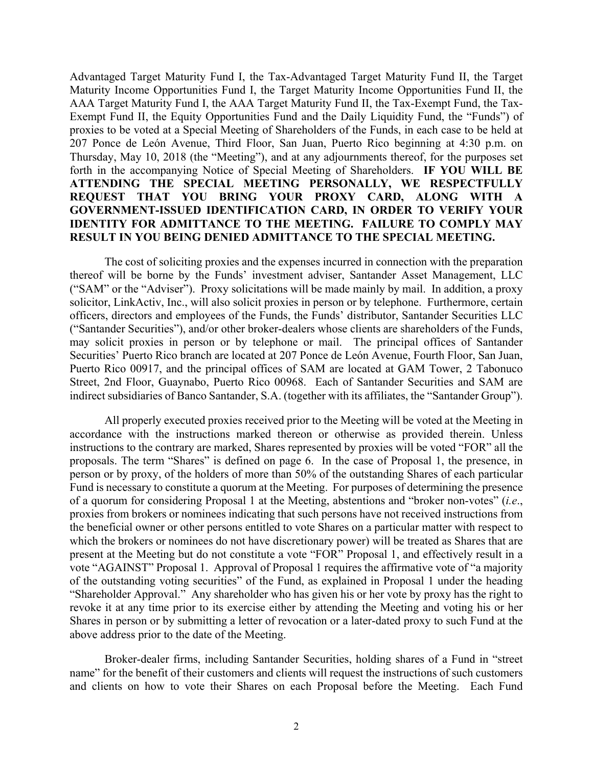Advantaged Target Maturity Fund I, the Tax-Advantaged Target Maturity Fund II, the Target Maturity Income Opportunities Fund I, the Target Maturity Income Opportunities Fund II, the AAA Target Maturity Fund I, the AAA Target Maturity Fund II, the Tax-Exempt Fund, the Tax-Exempt Fund II, the Equity Opportunities Fund and the Daily Liquidity Fund, the "Funds") of proxies to be voted at a Special Meeting of Shareholders of the Funds, in each case to be held at 207 Ponce de León Avenue, Third Floor, San Juan, Puerto Rico beginning at 4:30 p.m. on Thursday, May 10, 2018 (the "Meeting"), and at any adjournments thereof, for the purposes set forth in the accompanying Notice of Special Meeting of Shareholders. **IF YOU WILL BE ATTENDING THE SPECIAL MEETING PERSONALLY, WE RESPECTFULLY REQUEST THAT YOU BRING YOUR PROXY CARD, ALONG WITH A GOVERNMENT-ISSUED IDENTIFICATION CARD, IN ORDER TO VERIFY YOUR IDENTITY FOR ADMITTANCE TO THE MEETING. FAILURE TO COMPLY MAY RESULT IN YOU BEING DENIED ADMITTANCE TO THE SPECIAL MEETING.**

The cost of soliciting proxies and the expenses incurred in connection with the preparation thereof will be borne by the Funds' investment adviser, Santander Asset Management, LLC ("SAM" or the "Adviser"). Proxy solicitations will be made mainly by mail. In addition, a proxy solicitor, LinkActiv, Inc., will also solicit proxies in person or by telephone. Furthermore, certain officers, directors and employees of the Funds, the Funds' distributor, Santander Securities LLC ("Santander Securities"), and/or other broker-dealers whose clients are shareholders of the Funds, may solicit proxies in person or by telephone or mail. The principal offices of Santander Securities' Puerto Rico branch are located at 207 Ponce de León Avenue, Fourth Floor, San Juan, Puerto Rico 00917, and the principal offices of SAM are located at GAM Tower, 2 Tabonuco Street, 2nd Floor, Guaynabo, Puerto Rico 00968. Each of Santander Securities and SAM are indirect subsidiaries of Banco Santander, S.A. (together with its affiliates, the "Santander Group").

All properly executed proxies received prior to the Meeting will be voted at the Meeting in accordance with the instructions marked thereon or otherwise as provided therein. Unless instructions to the contrary are marked, Shares represented by proxies will be voted "FOR" all the proposals. The term "Shares" is defined on page 6. In the case of Proposal 1, the presence, in person or by proxy, of the holders of more than 50% of the outstanding Shares of each particular Fund is necessary to constitute a quorum at the Meeting. For purposes of determining the presence of a quorum for considering Proposal 1 at the Meeting, abstentions and "broker non-votes" (*i.e*., proxies from brokers or nominees indicating that such persons have not received instructions from the beneficial owner or other persons entitled to vote Shares on a particular matter with respect to which the brokers or nominees do not have discretionary power) will be treated as Shares that are present at the Meeting but do not constitute a vote "FOR" Proposal 1, and effectively result in a vote "AGAINST" Proposal 1. Approval of Proposal 1 requires the affirmative vote of "a majority of the outstanding voting securities" of the Fund, as explained in Proposal 1 under the heading "Shareholder Approval." Any shareholder who has given his or her vote by proxy has the right to revoke it at any time prior to its exercise either by attending the Meeting and voting his or her Shares in person or by submitting a letter of revocation or a later-dated proxy to such Fund at the above address prior to the date of the Meeting.

Broker-dealer firms, including Santander Securities, holding shares of a Fund in "street name" for the benefit of their customers and clients will request the instructions of such customers and clients on how to vote their Shares on each Proposal before the Meeting. Each Fund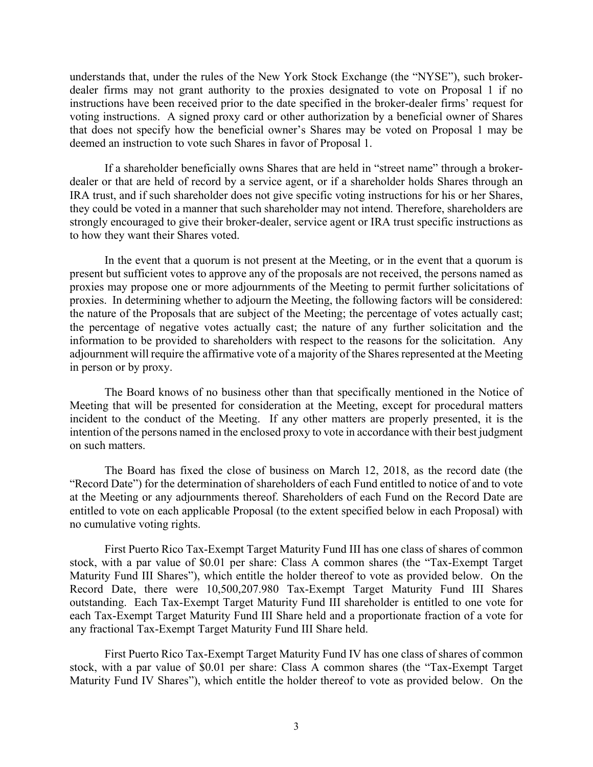understands that, under the rules of the New York Stock Exchange (the "NYSE"), such brokerdealer firms may not grant authority to the proxies designated to vote on Proposal 1 if no instructions have been received prior to the date specified in the broker-dealer firms' request for voting instructions. A signed proxy card or other authorization by a beneficial owner of Shares that does not specify how the beneficial owner's Shares may be voted on Proposal 1 may be deemed an instruction to vote such Shares in favor of Proposal 1.

If a shareholder beneficially owns Shares that are held in "street name" through a brokerdealer or that are held of record by a service agent, or if a shareholder holds Shares through an IRA trust, and if such shareholder does not give specific voting instructions for his or her Shares, they could be voted in a manner that such shareholder may not intend. Therefore, shareholders are strongly encouraged to give their broker-dealer, service agent or IRA trust specific instructions as to how they want their Shares voted.

In the event that a quorum is not present at the Meeting, or in the event that a quorum is present but sufficient votes to approve any of the proposals are not received, the persons named as proxies may propose one or more adjournments of the Meeting to permit further solicitations of proxies. In determining whether to adjourn the Meeting, the following factors will be considered: the nature of the Proposals that are subject of the Meeting; the percentage of votes actually cast; the percentage of negative votes actually cast; the nature of any further solicitation and the information to be provided to shareholders with respect to the reasons for the solicitation. Any adjournment will require the affirmative vote of a majority of the Shares represented at the Meeting in person or by proxy.

The Board knows of no business other than that specifically mentioned in the Notice of Meeting that will be presented for consideration at the Meeting, except for procedural matters incident to the conduct of the Meeting. If any other matters are properly presented, it is the intention of the persons named in the enclosed proxy to vote in accordance with their best judgment on such matters.

The Board has fixed the close of business on March 12, 2018, as the record date (the "Record Date") for the determination of shareholders of each Fund entitled to notice of and to vote at the Meeting or any adjournments thereof. Shareholders of each Fund on the Record Date are entitled to vote on each applicable Proposal (to the extent specified below in each Proposal) with no cumulative voting rights.

First Puerto Rico Tax-Exempt Target Maturity Fund III has one class of shares of common stock, with a par value of \$0.01 per share: Class A common shares (the "Tax-Exempt Target Maturity Fund III Shares"), which entitle the holder thereof to vote as provided below. On the Record Date, there were 10,500,207.980 Tax-Exempt Target Maturity Fund III Shares outstanding. Each Tax-Exempt Target Maturity Fund III shareholder is entitled to one vote for each Tax-Exempt Target Maturity Fund III Share held and a proportionate fraction of a vote for any fractional Tax-Exempt Target Maturity Fund III Share held.

First Puerto Rico Tax-Exempt Target Maturity Fund IV has one class of shares of common stock, with a par value of \$0.01 per share: Class A common shares (the "Tax-Exempt Target Maturity Fund IV Shares"), which entitle the holder thereof to vote as provided below. On the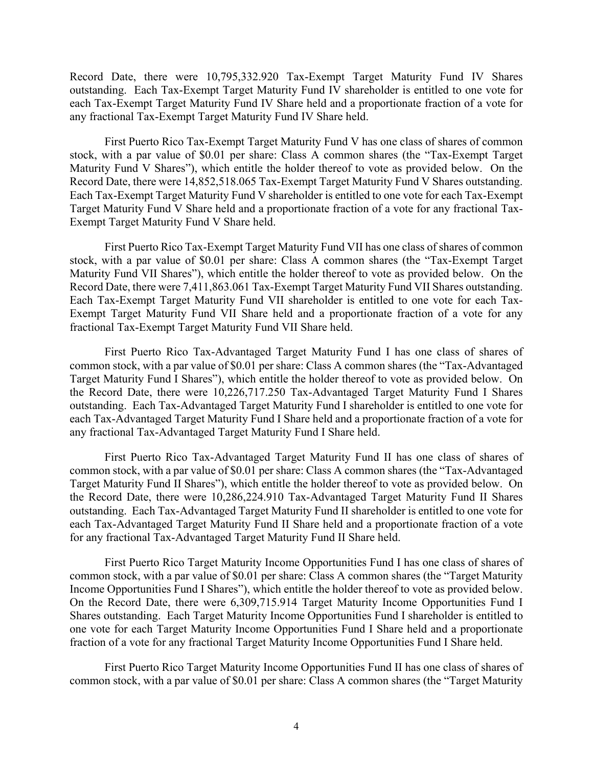Record Date, there were 10,795,332.920 Tax-Exempt Target Maturity Fund IV Shares outstanding. Each Tax-Exempt Target Maturity Fund IV shareholder is entitled to one vote for each Tax-Exempt Target Maturity Fund IV Share held and a proportionate fraction of a vote for any fractional Tax-Exempt Target Maturity Fund IV Share held.

First Puerto Rico Tax-Exempt Target Maturity Fund V has one class of shares of common stock, with a par value of \$0.01 per share: Class A common shares (the "Tax-Exempt Target Maturity Fund V Shares"), which entitle the holder thereof to vote as provided below. On the Record Date, there were 14,852,518.065 Tax-Exempt Target Maturity Fund V Shares outstanding. Each Tax-Exempt Target Maturity Fund V shareholder is entitled to one vote for each Tax-Exempt Target Maturity Fund V Share held and a proportionate fraction of a vote for any fractional Tax-Exempt Target Maturity Fund V Share held.

First Puerto Rico Tax-Exempt Target Maturity Fund VII has one class of shares of common stock, with a par value of \$0.01 per share: Class A common shares (the "Tax-Exempt Target Maturity Fund VII Shares"), which entitle the holder thereof to vote as provided below. On the Record Date, there were 7,411,863.061 Tax-Exempt Target Maturity Fund VII Shares outstanding. Each Tax-Exempt Target Maturity Fund VII shareholder is entitled to one vote for each Tax-Exempt Target Maturity Fund VII Share held and a proportionate fraction of a vote for any fractional Tax-Exempt Target Maturity Fund VII Share held.

First Puerto Rico Tax-Advantaged Target Maturity Fund I has one class of shares of common stock, with a par value of \$0.01 per share: Class A common shares (the "Tax-Advantaged Target Maturity Fund I Shares"), which entitle the holder thereof to vote as provided below. On the Record Date, there were 10,226,717.250 Tax-Advantaged Target Maturity Fund I Shares outstanding. Each Tax-Advantaged Target Maturity Fund I shareholder is entitled to one vote for each Tax-Advantaged Target Maturity Fund I Share held and a proportionate fraction of a vote for any fractional Tax-Advantaged Target Maturity Fund I Share held.

First Puerto Rico Tax-Advantaged Target Maturity Fund II has one class of shares of common stock, with a par value of \$0.01 per share: Class A common shares (the "Tax-Advantaged Target Maturity Fund II Shares"), which entitle the holder thereof to vote as provided below. On the Record Date, there were 10,286,224.910 Tax-Advantaged Target Maturity Fund II Shares outstanding. Each Tax-Advantaged Target Maturity Fund II shareholder is entitled to one vote for each Tax-Advantaged Target Maturity Fund II Share held and a proportionate fraction of a vote for any fractional Tax-Advantaged Target Maturity Fund II Share held.

First Puerto Rico Target Maturity Income Opportunities Fund I has one class of shares of common stock, with a par value of \$0.01 per share: Class A common shares (the "Target Maturity Income Opportunities Fund I Shares"), which entitle the holder thereof to vote as provided below. On the Record Date, there were 6,309,715.914 Target Maturity Income Opportunities Fund I Shares outstanding. Each Target Maturity Income Opportunities Fund I shareholder is entitled to one vote for each Target Maturity Income Opportunities Fund I Share held and a proportionate fraction of a vote for any fractional Target Maturity Income Opportunities Fund I Share held.

First Puerto Rico Target Maturity Income Opportunities Fund II has one class of shares of common stock, with a par value of \$0.01 per share: Class A common shares (the "Target Maturity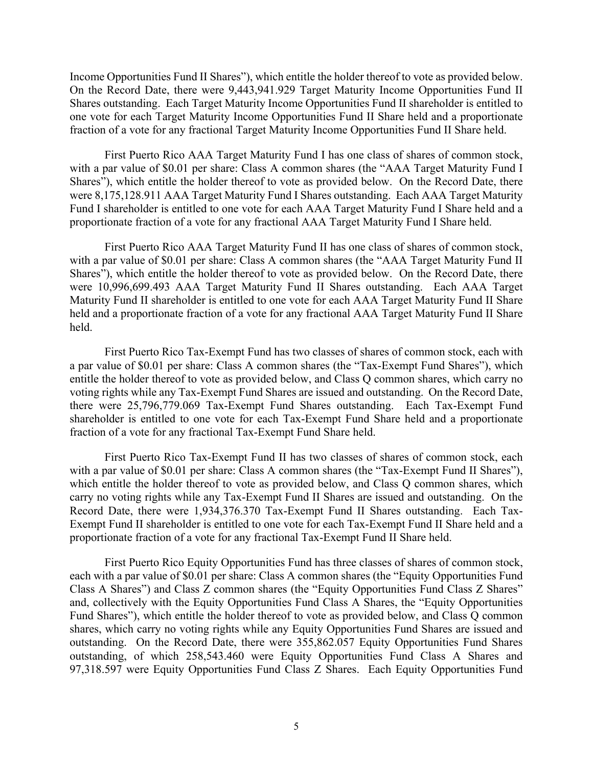Income Opportunities Fund II Shares"), which entitle the holder thereof to vote as provided below. On the Record Date, there were 9,443,941.929 Target Maturity Income Opportunities Fund II Shares outstanding. Each Target Maturity Income Opportunities Fund II shareholder is entitled to one vote for each Target Maturity Income Opportunities Fund II Share held and a proportionate fraction of a vote for any fractional Target Maturity Income Opportunities Fund II Share held.

First Puerto Rico AAA Target Maturity Fund I has one class of shares of common stock, with a par value of \$0.01 per share: Class A common shares (the "AAA Target Maturity Fund I Shares"), which entitle the holder thereof to vote as provided below. On the Record Date, there were 8,175,128.911 AAA Target Maturity Fund I Shares outstanding. Each AAA Target Maturity Fund I shareholder is entitled to one vote for each AAA Target Maturity Fund I Share held and a proportionate fraction of a vote for any fractional AAA Target Maturity Fund I Share held.

First Puerto Rico AAA Target Maturity Fund II has one class of shares of common stock, with a par value of \$0.01 per share: Class A common shares (the "AAA Target Maturity Fund II Shares"), which entitle the holder thereof to vote as provided below. On the Record Date, there were 10,996,699.493 AAA Target Maturity Fund II Shares outstanding. Each AAA Target Maturity Fund II shareholder is entitled to one vote for each AAA Target Maturity Fund II Share held and a proportionate fraction of a vote for any fractional AAA Target Maturity Fund II Share held.

First Puerto Rico Tax-Exempt Fund has two classes of shares of common stock, each with a par value of \$0.01 per share: Class A common shares (the "Tax-Exempt Fund Shares"), which entitle the holder thereof to vote as provided below, and Class Q common shares, which carry no voting rights while any Tax-Exempt Fund Shares are issued and outstanding. On the Record Date, there were 25,796,779.069 Tax-Exempt Fund Shares outstanding. Each Tax-Exempt Fund shareholder is entitled to one vote for each Tax-Exempt Fund Share held and a proportionate fraction of a vote for any fractional Tax-Exempt Fund Share held.

First Puerto Rico Tax-Exempt Fund II has two classes of shares of common stock, each with a par value of \$0.01 per share: Class A common shares (the "Tax-Exempt Fund II Shares"), which entitle the holder thereof to vote as provided below, and Class Q common shares, which carry no voting rights while any Tax-Exempt Fund II Shares are issued and outstanding. On the Record Date, there were 1,934,376.370 Tax-Exempt Fund II Shares outstanding. Each Tax-Exempt Fund II shareholder is entitled to one vote for each Tax-Exempt Fund II Share held and a proportionate fraction of a vote for any fractional Tax-Exempt Fund II Share held.

First Puerto Rico Equity Opportunities Fund has three classes of shares of common stock, each with a par value of \$0.01 per share: Class A common shares (the "Equity Opportunities Fund Class A Shares") and Class Z common shares (the "Equity Opportunities Fund Class Z Shares" and, collectively with the Equity Opportunities Fund Class A Shares, the "Equity Opportunities Fund Shares"), which entitle the holder thereof to vote as provided below, and Class Q common shares, which carry no voting rights while any Equity Opportunities Fund Shares are issued and outstanding. On the Record Date, there were 355,862.057 Equity Opportunities Fund Shares outstanding, of which 258,543.460 were Equity Opportunities Fund Class A Shares and 97,318.597 were Equity Opportunities Fund Class Z Shares. Each Equity Opportunities Fund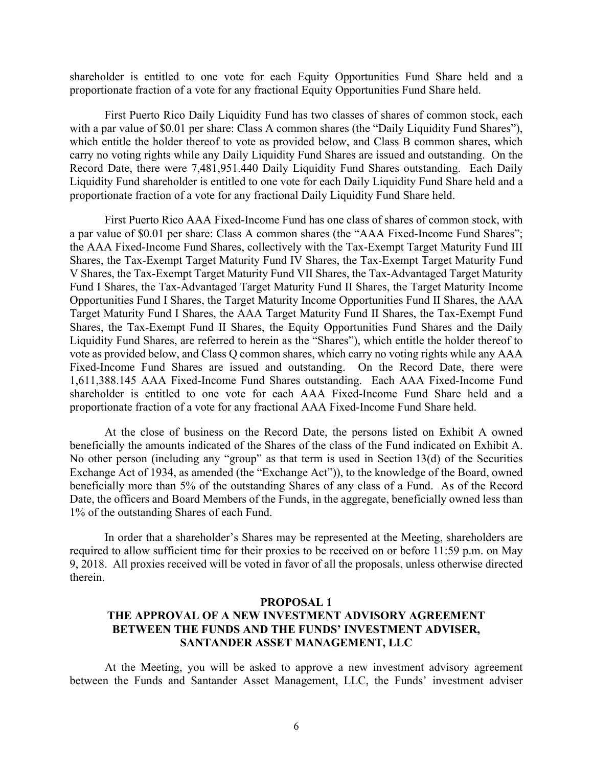shareholder is entitled to one vote for each Equity Opportunities Fund Share held and a proportionate fraction of a vote for any fractional Equity Opportunities Fund Share held.

First Puerto Rico Daily Liquidity Fund has two classes of shares of common stock, each with a par value of \$0.01 per share: Class A common shares (the "Daily Liquidity Fund Shares"), which entitle the holder thereof to vote as provided below, and Class B common shares, which carry no voting rights while any Daily Liquidity Fund Shares are issued and outstanding. On the Record Date, there were 7,481,951.440 Daily Liquidity Fund Shares outstanding. Each Daily Liquidity Fund shareholder is entitled to one vote for each Daily Liquidity Fund Share held and a proportionate fraction of a vote for any fractional Daily Liquidity Fund Share held.

First Puerto Rico AAA Fixed-Income Fund has one class of shares of common stock, with a par value of \$0.01 per share: Class A common shares (the "AAA Fixed-Income Fund Shares"; the AAA Fixed-Income Fund Shares, collectively with the Tax-Exempt Target Maturity Fund III Shares, the Tax-Exempt Target Maturity Fund IV Shares, the Tax-Exempt Target Maturity Fund V Shares, the Tax-Exempt Target Maturity Fund VII Shares, the Tax-Advantaged Target Maturity Fund I Shares, the Tax-Advantaged Target Maturity Fund II Shares, the Target Maturity Income Opportunities Fund I Shares, the Target Maturity Income Opportunities Fund II Shares, the AAA Target Maturity Fund I Shares, the AAA Target Maturity Fund II Shares, the Tax-Exempt Fund Shares, the Tax-Exempt Fund II Shares, the Equity Opportunities Fund Shares and the Daily Liquidity Fund Shares, are referred to herein as the "Shares"), which entitle the holder thereof to vote as provided below, and Class Q common shares, which carry no voting rights while any AAA Fixed-Income Fund Shares are issued and outstanding. On the Record Date, there were 1,611,388.145 AAA Fixed-Income Fund Shares outstanding. Each AAA Fixed-Income Fund shareholder is entitled to one vote for each AAA Fixed-Income Fund Share held and a proportionate fraction of a vote for any fractional AAA Fixed-Income Fund Share held.

At the close of business on the Record Date, the persons listed on Exhibit A owned beneficially the amounts indicated of the Shares of the class of the Fund indicated on Exhibit A. No other person (including any "group" as that term is used in Section 13(d) of the Securities Exchange Act of 1934, as amended (the "Exchange Act")), to the knowledge of the Board, owned beneficially more than 5% of the outstanding Shares of any class of a Fund. As of the Record Date, the officers and Board Members of the Funds, in the aggregate, beneficially owned less than 1% of the outstanding Shares of each Fund.

In order that a shareholder's Shares may be represented at the Meeting, shareholders are required to allow sufficient time for their proxies to be received on or before 11:59 p.m. on May 9, 2018. All proxies received will be voted in favor of all the proposals, unless otherwise directed therein.

#### **PROPOSAL 1**

## **THE APPROVAL OF A NEW INVESTMENT ADVISORY AGREEMENT BETWEEN THE FUNDS AND THE FUNDS' INVESTMENT ADVISER, SANTANDER ASSET MANAGEMENT, LLC**

At the Meeting, you will be asked to approve a new investment advisory agreement between the Funds and Santander Asset Management, LLC, the Funds' investment adviser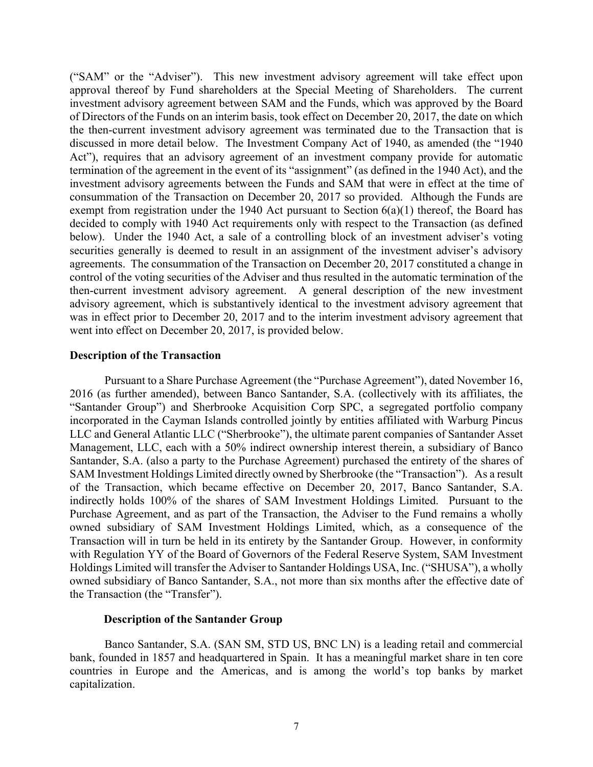("SAM" or the "Adviser"). This new investment advisory agreement will take effect upon approval thereof by Fund shareholders at the Special Meeting of Shareholders. The current investment advisory agreement between SAM and the Funds, which was approved by the Board of Directors of the Funds on an interim basis, took effect on December 20, 2017, the date on which the then-current investment advisory agreement was terminated due to the Transaction that is discussed in more detail below. The Investment Company Act of 1940, as amended (the "1940 Act"), requires that an advisory agreement of an investment company provide for automatic termination of the agreement in the event of its "assignment" (as defined in the 1940 Act), and the investment advisory agreements between the Funds and SAM that were in effect at the time of consummation of the Transaction on December 20, 2017 so provided. Although the Funds are exempt from registration under the 1940 Act pursuant to Section  $6(a)(1)$  thereof, the Board has decided to comply with 1940 Act requirements only with respect to the Transaction (as defined below). Under the 1940 Act, a sale of a controlling block of an investment adviser's voting securities generally is deemed to result in an assignment of the investment adviser's advisory agreements. The consummation of the Transaction on December 20, 2017 constituted a change in control of the voting securities of the Adviser and thus resulted in the automatic termination of the then-current investment advisory agreement. A general description of the new investment advisory agreement, which is substantively identical to the investment advisory agreement that was in effect prior to December 20, 2017 and to the interim investment advisory agreement that went into effect on December 20, 2017, is provided below.

#### **Description of the Transaction**

Pursuant to a Share Purchase Agreement (the "Purchase Agreement"), dated November 16, 2016 (as further amended), between Banco Santander, S.A. (collectively with its affiliates, the "Santander Group") and Sherbrooke Acquisition Corp SPC, a segregated portfolio company incorporated in the Cayman Islands controlled jointly by entities affiliated with Warburg Pincus LLC and General Atlantic LLC ("Sherbrooke"), the ultimate parent companies of Santander Asset Management, LLC, each with a 50% indirect ownership interest therein, a subsidiary of Banco Santander, S.A. (also a party to the Purchase Agreement) purchased the entirety of the shares of SAM Investment Holdings Limited directly owned by Sherbrooke (the "Transaction"). As a result of the Transaction, which became effective on December 20, 2017, Banco Santander, S.A. indirectly holds 100% of the shares of SAM Investment Holdings Limited. Pursuant to the Purchase Agreement, and as part of the Transaction, the Adviser to the Fund remains a wholly owned subsidiary of SAM Investment Holdings Limited, which, as a consequence of the Transaction will in turn be held in its entirety by the Santander Group. However, in conformity with Regulation YY of the Board of Governors of the Federal Reserve System, SAM Investment Holdings Limited will transfer the Adviser to Santander Holdings USA, Inc. ("SHUSA"), a wholly owned subsidiary of Banco Santander, S.A., not more than six months after the effective date of the Transaction (the "Transfer").

#### **Description of the Santander Group**

Banco Santander, S.A. (SAN SM, STD US, BNC LN) is a leading retail and commercial bank, founded in 1857 and headquartered in Spain. It has a meaningful market share in ten core countries in Europe and the Americas, and is among the world's top banks by market capitalization.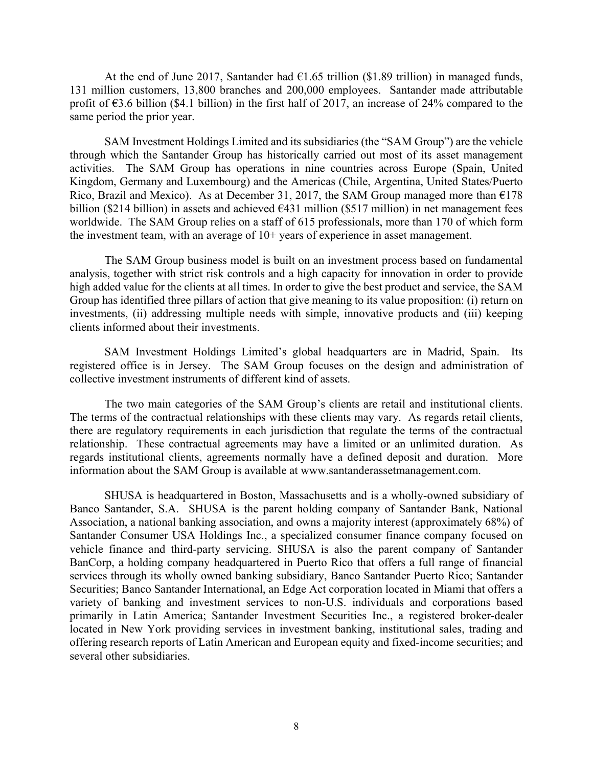At the end of June 2017, Santander had  $\epsilon$ 1.65 trillion (\$1.89 trillion) in managed funds, 131 million customers, 13,800 branches and 200,000 employees. Santander made attributable profit of  $\epsilon$ 3.6 billion (\$4.1 billion) in the first half of 2017, an increase of 24% compared to the same period the prior year.

SAM Investment Holdings Limited and its subsidiaries (the "SAM Group") are the vehicle through which the Santander Group has historically carried out most of its asset management activities. The SAM Group has operations in nine countries across Europe (Spain, United Kingdom, Germany and Luxembourg) and the Americas (Chile, Argentina, United States/Puerto Rico, Brazil and Mexico). As at December 31, 2017, the SAM Group managed more than  $\epsilon$ 178 billion (\$214 billion) in assets and achieved  $\epsilon$ 431 million (\$517 million) in net management fees worldwide. The SAM Group relies on a staff of 615 professionals, more than 170 of which form the investment team, with an average of 10+ years of experience in asset management.

The SAM Group business model is built on an investment process based on fundamental analysis, together with strict risk controls and a high capacity for innovation in order to provide high added value for the clients at all times. In order to give the best product and service, the SAM Group has identified three pillars of action that give meaning to its value proposition: (i) return on investments, (ii) addressing multiple needs with simple, innovative products and (iii) keeping clients informed about their investments.

SAM Investment Holdings Limited's global headquarters are in Madrid, Spain. Its registered office is in Jersey. The SAM Group focuses on the design and administration of collective investment instruments of different kind of assets.

The two main categories of the SAM Group's clients are retail and institutional clients. The terms of the contractual relationships with these clients may vary. As regards retail clients, there are regulatory requirements in each jurisdiction that regulate the terms of the contractual relationship. These contractual agreements may have a limited or an unlimited duration. As regards institutional clients, agreements normally have a defined deposit and duration. More information about the SAM Group is available at www.santanderassetmanagement.com.

SHUSA is headquartered in Boston, Massachusetts and is a wholly-owned subsidiary of Banco Santander, S.A. SHUSA is the parent holding company of Santander Bank, National Association, a national banking association, and owns a majority interest (approximately 68%) of Santander Consumer USA Holdings Inc., a specialized consumer finance company focused on vehicle finance and third-party servicing. SHUSA is also the parent company of Santander BanCorp, a holding company headquartered in Puerto Rico that offers a full range of financial services through its wholly owned banking subsidiary, Banco Santander Puerto Rico; Santander Securities; Banco Santander International, an Edge Act corporation located in Miami that offers a variety of banking and investment services to non-U.S. individuals and corporations based primarily in Latin America; Santander Investment Securities Inc., a registered broker-dealer located in New York providing services in investment banking, institutional sales, trading and offering research reports of Latin American and European equity and fixed-income securities; and several other subsidiaries.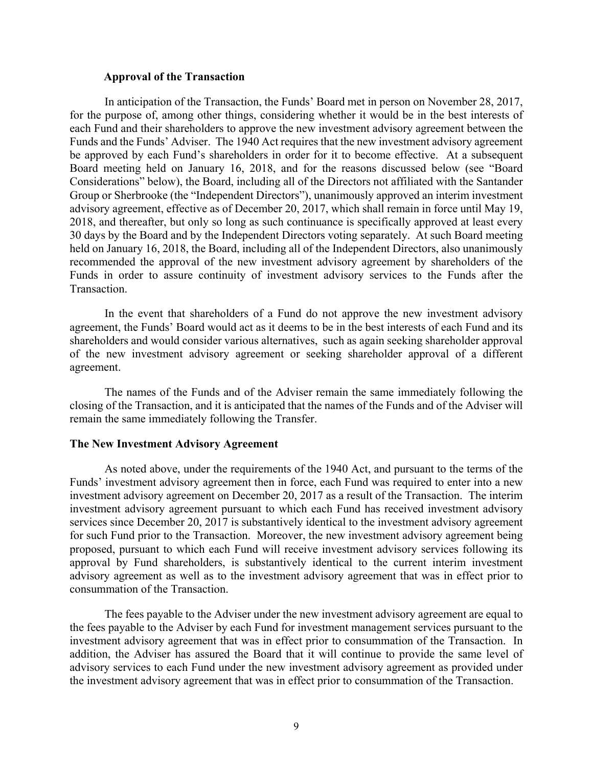#### **Approval of the Transaction**

In anticipation of the Transaction, the Funds' Board met in person on November 28, 2017, for the purpose of, among other things, considering whether it would be in the best interests of each Fund and their shareholders to approve the new investment advisory agreement between the Funds and the Funds' Adviser. The 1940 Act requires that the new investment advisory agreement be approved by each Fund's shareholders in order for it to become effective. At a subsequent Board meeting held on January 16, 2018, and for the reasons discussed below (see "Board Considerations" below), the Board, including all of the Directors not affiliated with the Santander Group or Sherbrooke (the "Independent Directors"), unanimously approved an interim investment advisory agreement, effective as of December 20, 2017, which shall remain in force until May 19, 2018, and thereafter, but only so long as such continuance is specifically approved at least every 30 days by the Board and by the Independent Directors voting separately. At such Board meeting held on January 16, 2018, the Board, including all of the Independent Directors, also unanimously recommended the approval of the new investment advisory agreement by shareholders of the Funds in order to assure continuity of investment advisory services to the Funds after the Transaction.

In the event that shareholders of a Fund do not approve the new investment advisory agreement, the Funds' Board would act as it deems to be in the best interests of each Fund and its shareholders and would consider various alternatives, such as again seeking shareholder approval of the new investment advisory agreement or seeking shareholder approval of a different agreement.

The names of the Funds and of the Adviser remain the same immediately following the closing of the Transaction, and it is anticipated that the names of the Funds and of the Adviser will remain the same immediately following the Transfer.

#### **The New Investment Advisory Agreement**

As noted above, under the requirements of the 1940 Act, and pursuant to the terms of the Funds' investment advisory agreement then in force, each Fund was required to enter into a new investment advisory agreement on December 20, 2017 as a result of the Transaction. The interim investment advisory agreement pursuant to which each Fund has received investment advisory services since December 20, 2017 is substantively identical to the investment advisory agreement for such Fund prior to the Transaction. Moreover, the new investment advisory agreement being proposed, pursuant to which each Fund will receive investment advisory services following its approval by Fund shareholders, is substantively identical to the current interim investment advisory agreement as well as to the investment advisory agreement that was in effect prior to consummation of the Transaction.

The fees payable to the Adviser under the new investment advisory agreement are equal to the fees payable to the Adviser by each Fund for investment management services pursuant to the investment advisory agreement that was in effect prior to consummation of the Transaction. In addition, the Adviser has assured the Board that it will continue to provide the same level of advisory services to each Fund under the new investment advisory agreement as provided under the investment advisory agreement that was in effect prior to consummation of the Transaction.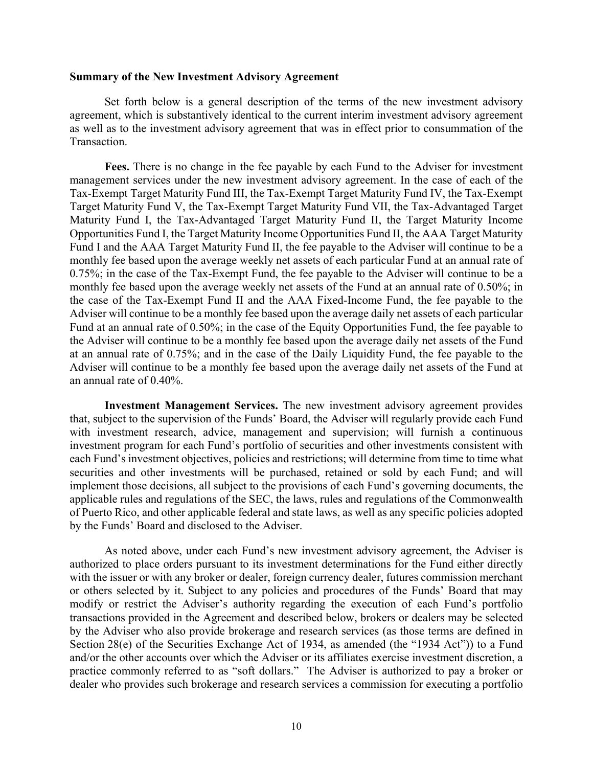#### **Summary of the New Investment Advisory Agreement**

Set forth below is a general description of the terms of the new investment advisory agreement, which is substantively identical to the current interim investment advisory agreement as well as to the investment advisory agreement that was in effect prior to consummation of the **Transaction** 

**Fees.** There is no change in the fee payable by each Fund to the Adviser for investment management services under the new investment advisory agreement. In the case of each of the Tax-Exempt Target Maturity Fund III, the Tax-Exempt Target Maturity Fund IV, the Tax-Exempt Target Maturity Fund V, the Tax-Exempt Target Maturity Fund VII, the Tax-Advantaged Target Maturity Fund I, the Tax-Advantaged Target Maturity Fund II, the Target Maturity Income Opportunities Fund I, the Target Maturity Income Opportunities Fund II, the AAA Target Maturity Fund I and the AAA Target Maturity Fund II, the fee payable to the Adviser will continue to be a monthly fee based upon the average weekly net assets of each particular Fund at an annual rate of 0.75%; in the case of the Tax-Exempt Fund, the fee payable to the Adviser will continue to be a monthly fee based upon the average weekly net assets of the Fund at an annual rate of 0.50%; in the case of the Tax-Exempt Fund II and the AAA Fixed-Income Fund, the fee payable to the Adviser will continue to be a monthly fee based upon the average daily net assets of each particular Fund at an annual rate of 0.50%; in the case of the Equity Opportunities Fund, the fee payable to the Adviser will continue to be a monthly fee based upon the average daily net assets of the Fund at an annual rate of 0.75%; and in the case of the Daily Liquidity Fund, the fee payable to the Adviser will continue to be a monthly fee based upon the average daily net assets of the Fund at an annual rate of 0.40%.

**Investment Management Services.** The new investment advisory agreement provides that, subject to the supervision of the Funds' Board, the Adviser will regularly provide each Fund with investment research, advice, management and supervision; will furnish a continuous investment program for each Fund's portfolio of securities and other investments consistent with each Fund's investment objectives, policies and restrictions; will determine from time to time what securities and other investments will be purchased, retained or sold by each Fund; and will implement those decisions, all subject to the provisions of each Fund's governing documents, the applicable rules and regulations of the SEC, the laws, rules and regulations of the Commonwealth of Puerto Rico, and other applicable federal and state laws, as well as any specific policies adopted by the Funds' Board and disclosed to the Adviser.

As noted above, under each Fund's new investment advisory agreement, the Adviser is authorized to place orders pursuant to its investment determinations for the Fund either directly with the issuer or with any broker or dealer, foreign currency dealer, futures commission merchant or others selected by it. Subject to any policies and procedures of the Funds' Board that may modify or restrict the Adviser's authority regarding the execution of each Fund's portfolio transactions provided in the Agreement and described below, brokers or dealers may be selected by the Adviser who also provide brokerage and research services (as those terms are defined in Section 28(e) of the Securities Exchange Act of 1934, as amended (the "1934 Act")) to a Fund and/or the other accounts over which the Adviser or its affiliates exercise investment discretion, a practice commonly referred to as "soft dollars." The Adviser is authorized to pay a broker or dealer who provides such brokerage and research services a commission for executing a portfolio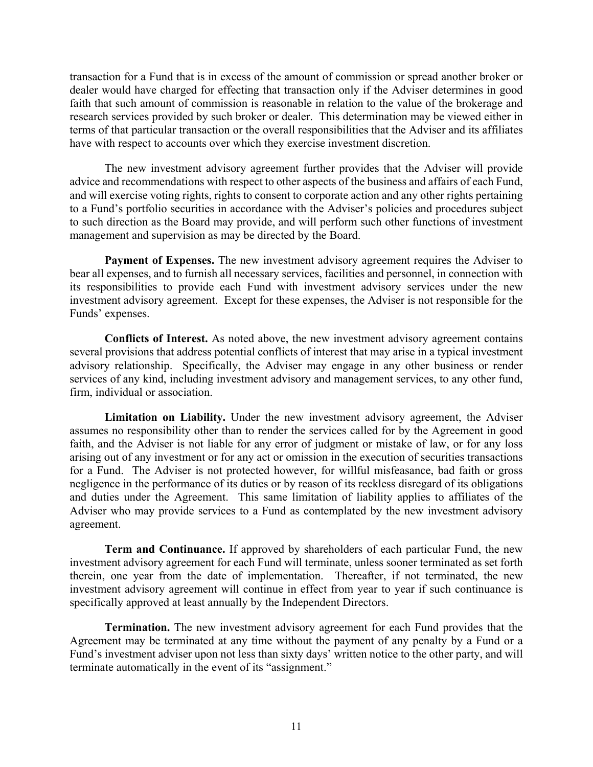transaction for a Fund that is in excess of the amount of commission or spread another broker or dealer would have charged for effecting that transaction only if the Adviser determines in good faith that such amount of commission is reasonable in relation to the value of the brokerage and research services provided by such broker or dealer. This determination may be viewed either in terms of that particular transaction or the overall responsibilities that the Adviser and its affiliates have with respect to accounts over which they exercise investment discretion.

The new investment advisory agreement further provides that the Adviser will provide advice and recommendations with respect to other aspects of the business and affairs of each Fund, and will exercise voting rights, rights to consent to corporate action and any other rights pertaining to a Fund's portfolio securities in accordance with the Adviser's policies and procedures subject to such direction as the Board may provide, and will perform such other functions of investment management and supervision as may be directed by the Board.

**Payment of Expenses.** The new investment advisory agreement requires the Adviser to bear all expenses, and to furnish all necessary services, facilities and personnel, in connection with its responsibilities to provide each Fund with investment advisory services under the new investment advisory agreement. Except for these expenses, the Adviser is not responsible for the Funds' expenses.

**Conflicts of Interest.** As noted above, the new investment advisory agreement contains several provisions that address potential conflicts of interest that may arise in a typical investment advisory relationship. Specifically, the Adviser may engage in any other business or render services of any kind, including investment advisory and management services, to any other fund, firm, individual or association.

**Limitation on Liability.** Under the new investment advisory agreement, the Adviser assumes no responsibility other than to render the services called for by the Agreement in good faith, and the Adviser is not liable for any error of judgment or mistake of law, or for any loss arising out of any investment or for any act or omission in the execution of securities transactions for a Fund. The Adviser is not protected however, for willful misfeasance, bad faith or gross negligence in the performance of its duties or by reason of its reckless disregard of its obligations and duties under the Agreement. This same limitation of liability applies to affiliates of the Adviser who may provide services to a Fund as contemplated by the new investment advisory agreement.

**Term and Continuance.** If approved by shareholders of each particular Fund, the new investment advisory agreement for each Fund will terminate, unless sooner terminated as set forth therein, one year from the date of implementation. Thereafter, if not terminated, the new investment advisory agreement will continue in effect from year to year if such continuance is specifically approved at least annually by the Independent Directors.

**Termination.** The new investment advisory agreement for each Fund provides that the Agreement may be terminated at any time without the payment of any penalty by a Fund or a Fund's investment adviser upon not less than sixty days' written notice to the other party, and will terminate automatically in the event of its "assignment."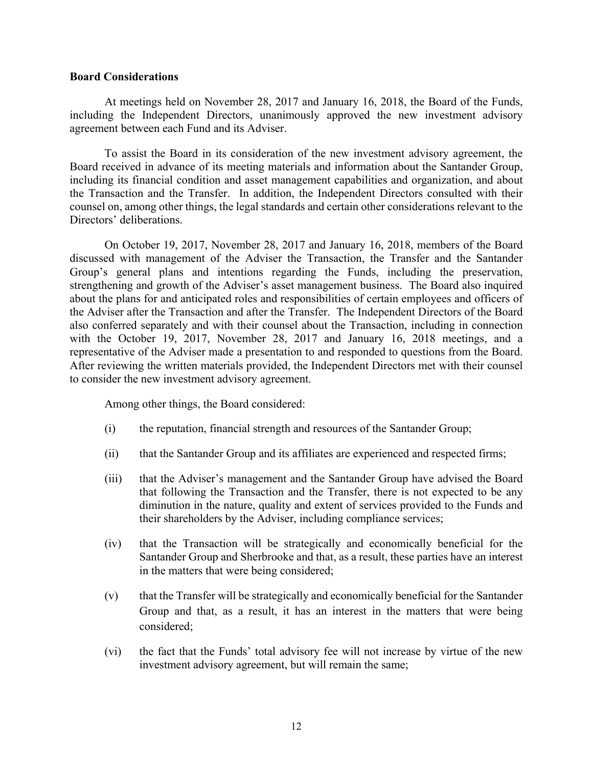#### **Board Considerations**

At meetings held on November 28, 2017 and January 16, 2018, the Board of the Funds, including the Independent Directors, unanimously approved the new investment advisory agreement between each Fund and its Adviser.

To assist the Board in its consideration of the new investment advisory agreement, the Board received in advance of its meeting materials and information about the Santander Group, including its financial condition and asset management capabilities and organization, and about the Transaction and the Transfer. In addition, the Independent Directors consulted with their counsel on, among other things, the legal standards and certain other considerations relevant to the Directors' deliberations.

On October 19, 2017, November 28, 2017 and January 16, 2018, members of the Board discussed with management of the Adviser the Transaction, the Transfer and the Santander Group's general plans and intentions regarding the Funds, including the preservation, strengthening and growth of the Adviser's asset management business. The Board also inquired about the plans for and anticipated roles and responsibilities of certain employees and officers of the Adviser after the Transaction and after the Transfer. The Independent Directors of the Board also conferred separately and with their counsel about the Transaction, including in connection with the October 19, 2017, November 28, 2017 and January 16, 2018 meetings, and a representative of the Adviser made a presentation to and responded to questions from the Board. After reviewing the written materials provided, the Independent Directors met with their counsel to consider the new investment advisory agreement.

Among other things, the Board considered:

- (i) the reputation, financial strength and resources of the Santander Group;
- (ii) that the Santander Group and its affiliates are experienced and respected firms;
- (iii) that the Adviser's management and the Santander Group have advised the Board that following the Transaction and the Transfer, there is not expected to be any diminution in the nature, quality and extent of services provided to the Funds and their shareholders by the Adviser, including compliance services;
- (iv) that the Transaction will be strategically and economically beneficial for the Santander Group and Sherbrooke and that, as a result, these parties have an interest in the matters that were being considered;
- (v) that the Transfer will be strategically and economically beneficial for the Santander Group and that, as a result, it has an interest in the matters that were being considered;
- (vi) the fact that the Funds' total advisory fee will not increase by virtue of the new investment advisory agreement, but will remain the same;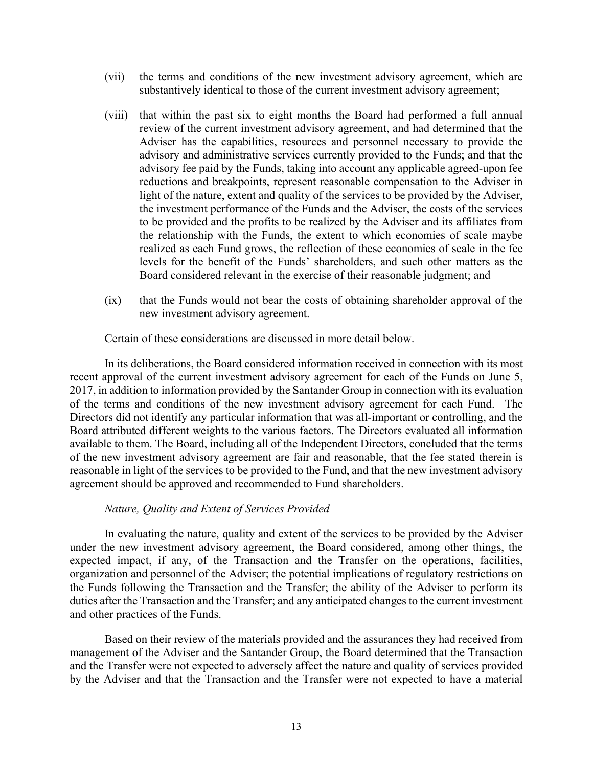- (vii) the terms and conditions of the new investment advisory agreement, which are substantively identical to those of the current investment advisory agreement;
- (viii) that within the past six to eight months the Board had performed a full annual review of the current investment advisory agreement, and had determined that the Adviser has the capabilities, resources and personnel necessary to provide the advisory and administrative services currently provided to the Funds; and that the advisory fee paid by the Funds, taking into account any applicable agreed-upon fee reductions and breakpoints, represent reasonable compensation to the Adviser in light of the nature, extent and quality of the services to be provided by the Adviser, the investment performance of the Funds and the Adviser, the costs of the services to be provided and the profits to be realized by the Adviser and its affiliates from the relationship with the Funds, the extent to which economies of scale maybe realized as each Fund grows, the reflection of these economies of scale in the fee levels for the benefit of the Funds' shareholders, and such other matters as the Board considered relevant in the exercise of their reasonable judgment; and
- (ix) that the Funds would not bear the costs of obtaining shareholder approval of the new investment advisory agreement.

Certain of these considerations are discussed in more detail below.

In its deliberations, the Board considered information received in connection with its most recent approval of the current investment advisory agreement for each of the Funds on June 5, 2017, in addition to information provided by the Santander Group in connection with its evaluation of the terms and conditions of the new investment advisory agreement for each Fund. The Directors did not identify any particular information that was all-important or controlling, and the Board attributed different weights to the various factors. The Directors evaluated all information available to them. The Board, including all of the Independent Directors, concluded that the terms of the new investment advisory agreement are fair and reasonable, that the fee stated therein is reasonable in light of the services to be provided to the Fund, and that the new investment advisory agreement should be approved and recommended to Fund shareholders.

## *Nature, Quality and Extent of Services Provided*

In evaluating the nature, quality and extent of the services to be provided by the Adviser under the new investment advisory agreement, the Board considered, among other things, the expected impact, if any, of the Transaction and the Transfer on the operations, facilities, organization and personnel of the Adviser; the potential implications of regulatory restrictions on the Funds following the Transaction and the Transfer; the ability of the Adviser to perform its duties after the Transaction and the Transfer; and any anticipated changes to the current investment and other practices of the Funds.

Based on their review of the materials provided and the assurances they had received from management of the Adviser and the Santander Group, the Board determined that the Transaction and the Transfer were not expected to adversely affect the nature and quality of services provided by the Adviser and that the Transaction and the Transfer were not expected to have a material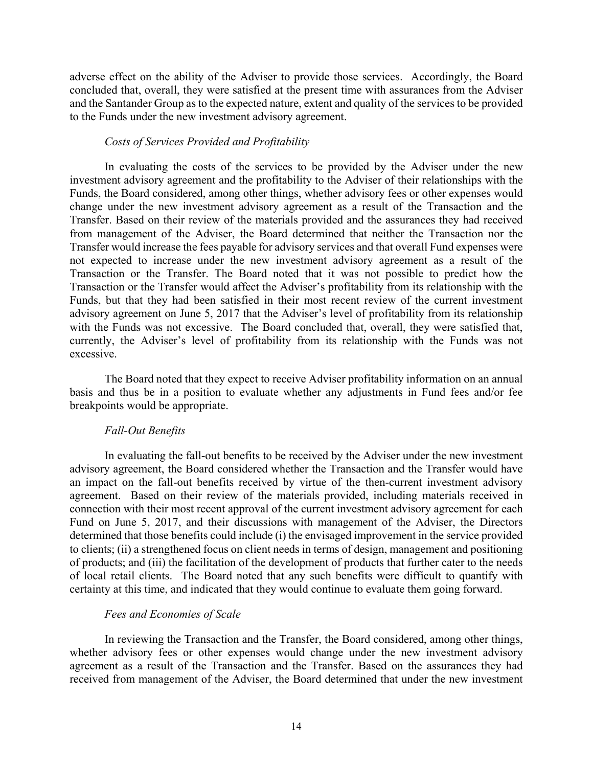adverse effect on the ability of the Adviser to provide those services. Accordingly, the Board concluded that, overall, they were satisfied at the present time with assurances from the Adviser and the Santander Group as to the expected nature, extent and quality of the services to be provided to the Funds under the new investment advisory agreement.

## *Costs of Services Provided and Profitability*

In evaluating the costs of the services to be provided by the Adviser under the new investment advisory agreement and the profitability to the Adviser of their relationships with the Funds, the Board considered, among other things, whether advisory fees or other expenses would change under the new investment advisory agreement as a result of the Transaction and the Transfer. Based on their review of the materials provided and the assurances they had received from management of the Adviser, the Board determined that neither the Transaction nor the Transfer would increase the fees payable for advisory services and that overall Fund expenses were not expected to increase under the new investment advisory agreement as a result of the Transaction or the Transfer. The Board noted that it was not possible to predict how the Transaction or the Transfer would affect the Adviser's profitability from its relationship with the Funds, but that they had been satisfied in their most recent review of the current investment advisory agreement on June 5, 2017 that the Adviser's level of profitability from its relationship with the Funds was not excessive. The Board concluded that, overall, they were satisfied that, currently, the Adviser's level of profitability from its relationship with the Funds was not excessive.

The Board noted that they expect to receive Adviser profitability information on an annual basis and thus be in a position to evaluate whether any adjustments in Fund fees and/or fee breakpoints would be appropriate.

## *Fall-Out Benefits*

In evaluating the fall-out benefits to be received by the Adviser under the new investment advisory agreement, the Board considered whether the Transaction and the Transfer would have an impact on the fall-out benefits received by virtue of the then-current investment advisory agreement. Based on their review of the materials provided, including materials received in connection with their most recent approval of the current investment advisory agreement for each Fund on June 5, 2017, and their discussions with management of the Adviser, the Directors determined that those benefits could include (i) the envisaged improvement in the service provided to clients; (ii) a strengthened focus on client needs in terms of design, management and positioning of products; and (iii) the facilitation of the development of products that further cater to the needs of local retail clients. The Board noted that any such benefits were difficult to quantify with certainty at this time, and indicated that they would continue to evaluate them going forward.

## *Fees and Economies of Scale*

In reviewing the Transaction and the Transfer, the Board considered, among other things, whether advisory fees or other expenses would change under the new investment advisory agreement as a result of the Transaction and the Transfer. Based on the assurances they had received from management of the Adviser, the Board determined that under the new investment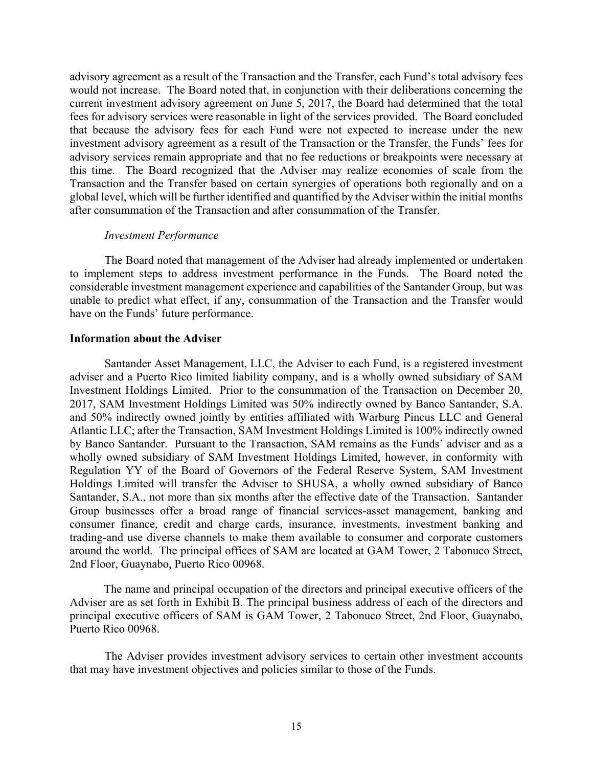advisory agreement as a result of the Transaction and the Transfer, each Fund's total advisory fees would not increase. The Board noted that, in conjunction with their deliberations concerning the current investment advisory agreement on June 5, 2017, the Board had determined that the total fees for advisory services were reasonable in light of the services provided. The Board concluded that because the advisory fees for each Fund were not expected to increase under the new investment advisory agreement as a result of the Transaction or the Transfer, the Funds' fees for advisory services remain appropriate and that no fee reductions or breakpoints were necessary at this time. The Board recognized that the Adviser may realize economies of scale from the Transaction and the Transfer based on certain synergies of operations both regionally and on a global level, which will be further identified and quantified by the Adviser within the initial months after consummation of the Transaction and after consummation of the Transfer.

#### *Investment Performance*

The Board noted that management of the Adviser had already implemented or undertaken to implement steps to address investment performance in the Funds. The Board noted the considerable investment management experience and capabilities of the Santander Group, but was unable to predict what effect, if any, consummation of the Transaction and the Transfer would have on the Funds' future performance.

#### **Information about the Adviser**

Santander Asset Management, LLC, the Adviser to each Fund, is a registered investment adviser and a Puerto Rico limited liability company, and is a wholly owned subsidiary of SAM Investment Holdings Limited. Prior to the consummation of the Transaction on December 20, 2017, SAM Investment Holdings Limited was 50% indirectly owned by Banco Santander, S.A. and 50% indirectly owned jointly by entities affiliated with Warburg Pincus LLC and General Atlantic LLC; after the Transaction, SAM Investment Holdings Limited is 100% indirectly owned by Banco Santander. Pursuant to the Transaction, SAM remains as the Funds' adviser and as a wholly owned subsidiary of SAM Investment Holdings Limited, however, in conformity with Regulation YY of the Board of Governors of the Federal Reserve System, SAM Investment Holdings Limited will transfer the Adviser to SHUSA, a wholly owned subsidiary of Banco Santander, S.A., not more than six months after the effective date of the Transaction. Santander Group businesses offer a broad range of financial services-asset management, banking and consumer finance, credit and charge cards, insurance, investments, investment banking and trading-and use diverse channels to make them available to consumer and corporate customers around the world. The principal offices of SAM are located at GAM Tower, 2 Tabonuco Street, 2nd Floor, Guaynabo, Puerto Rico 00968.

The name and principal occupation of the directors and principal executive officers of the Adviser are as set forth in Exhibit B. The principal business address of each of the directors and principal executive officers of SAM is GAM Tower, 2 Tabonuco Street, 2nd Floor, Guaynabo, Puerto Rico 00968.

The Adviser provides investment advisory services to certain other investment accounts that may have investment objectives and policies similar to those of the Funds.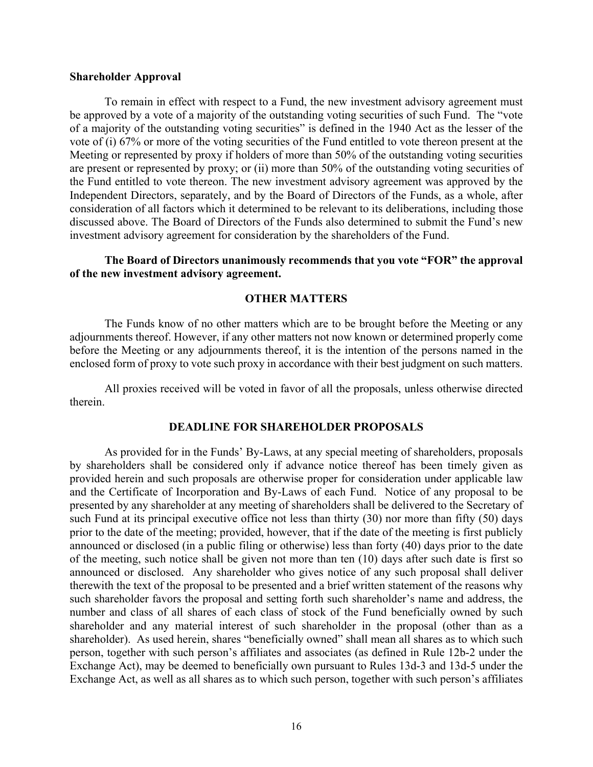#### **Shareholder Approval**

To remain in effect with respect to a Fund, the new investment advisory agreement must be approved by a vote of a majority of the outstanding voting securities of such Fund. The "vote of a majority of the outstanding voting securities" is defined in the 1940 Act as the lesser of the vote of (i) 67% or more of the voting securities of the Fund entitled to vote thereon present at the Meeting or represented by proxy if holders of more than 50% of the outstanding voting securities are present or represented by proxy; or (ii) more than 50% of the outstanding voting securities of the Fund entitled to vote thereon. The new investment advisory agreement was approved by the Independent Directors, separately, and by the Board of Directors of the Funds, as a whole, after consideration of all factors which it determined to be relevant to its deliberations, including those discussed above. The Board of Directors of the Funds also determined to submit the Fund's new investment advisory agreement for consideration by the shareholders of the Fund.

#### **The Board of Directors unanimously recommends that you vote "FOR" the approval of the new investment advisory agreement.**

## **OTHER MATTERS**

The Funds know of no other matters which are to be brought before the Meeting or any adjournments thereof. However, if any other matters not now known or determined properly come before the Meeting or any adjournments thereof, it is the intention of the persons named in the enclosed form of proxy to vote such proxy in accordance with their best judgment on such matters.

All proxies received will be voted in favor of all the proposals, unless otherwise directed therein.

#### **DEADLINE FOR SHAREHOLDER PROPOSALS**

As provided for in the Funds' By-Laws, at any special meeting of shareholders, proposals by shareholders shall be considered only if advance notice thereof has been timely given as provided herein and such proposals are otherwise proper for consideration under applicable law and the Certificate of Incorporation and By-Laws of each Fund. Notice of any proposal to be presented by any shareholder at any meeting of shareholders shall be delivered to the Secretary of such Fund at its principal executive office not less than thirty (30) nor more than fifty (50) days prior to the date of the meeting; provided, however, that if the date of the meeting is first publicly announced or disclosed (in a public filing or otherwise) less than forty (40) days prior to the date of the meeting, such notice shall be given not more than ten (10) days after such date is first so announced or disclosed. Any shareholder who gives notice of any such proposal shall deliver therewith the text of the proposal to be presented and a brief written statement of the reasons why such shareholder favors the proposal and setting forth such shareholder's name and address, the number and class of all shares of each class of stock of the Fund beneficially owned by such shareholder and any material interest of such shareholder in the proposal (other than as a shareholder). As used herein, shares "beneficially owned" shall mean all shares as to which such person, together with such person's affiliates and associates (as defined in Rule 12b-2 under the Exchange Act), may be deemed to beneficially own pursuant to Rules 13d-3 and 13d-5 under the Exchange Act, as well as all shares as to which such person, together with such person's affiliates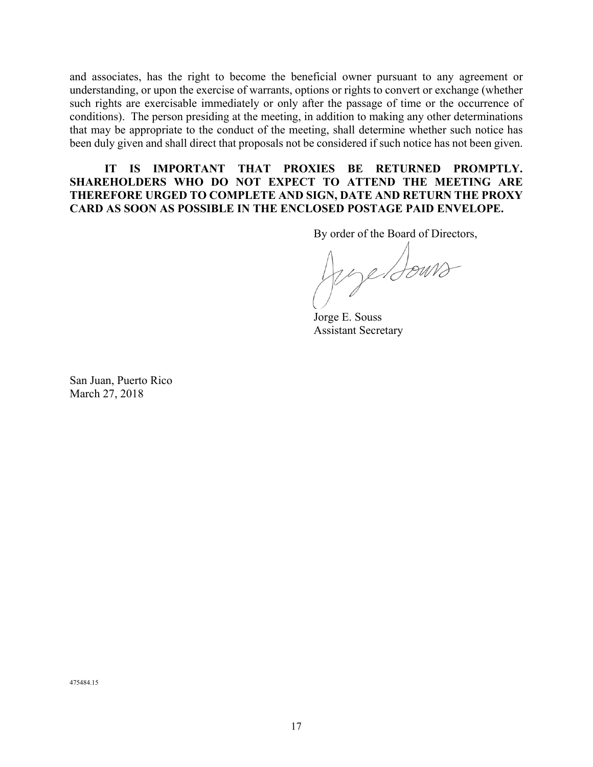and associates, has the right to become the beneficial owner pursuant to any agreement or understanding, or upon the exercise of warrants, options or rights to convert or exchange (whether such rights are exercisable immediately or only after the passage of time or the occurrence of conditions). The person presiding at the meeting, in addition to making any other determinations that may be appropriate to the conduct of the meeting, shall determine whether such notice has been duly given and shall direct that proposals not be considered if such notice has not been given.

## **IT IS IMPORTANT THAT PROXIES BE RETURNED PROMPTLY. SHAREHOLDERS WHO DO NOT EXPECT TO ATTEND THE MEETING ARE THEREFORE URGED TO COMPLETE AND SIGN, DATE AND RETURN THE PROXY CARD AS SOON AS POSSIBLE IN THE ENCLOSED POSTAGE PAID ENVELOPE.**

By order of the Board of Directors,

Jerge Bours

Jorge E. Souss Assistant Secretary

San Juan, Puerto Rico March 27, 2018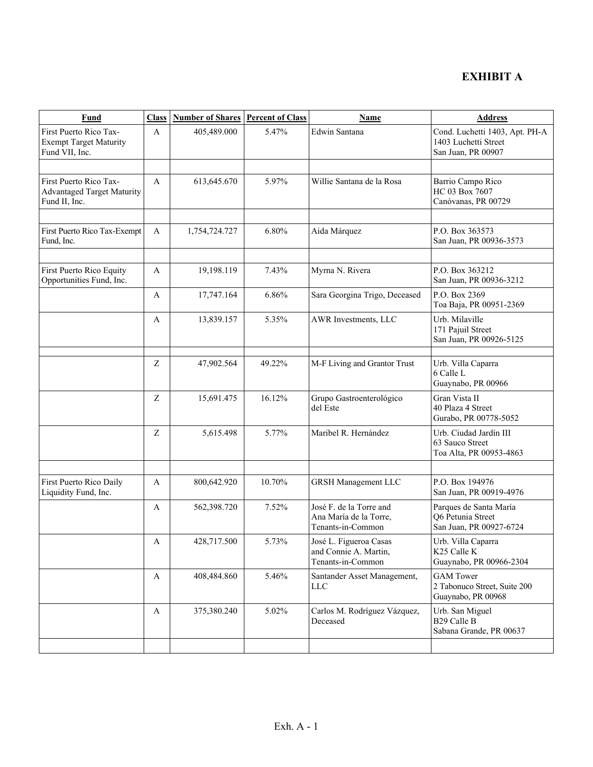## **EXHIBIT A**

| Fund                                                                         | <b>Class</b> | <b>Number of Shares</b> | <b>Percent of Class</b> | Name                                                                   | <b>Address</b>                                                               |
|------------------------------------------------------------------------------|--------------|-------------------------|-------------------------|------------------------------------------------------------------------|------------------------------------------------------------------------------|
| First Puerto Rico Tax-<br><b>Exempt Target Maturity</b><br>Fund VII, Inc.    | A            | 405,489.000             | 5.47%                   | Edwin Santana                                                          | Cond. Luchetti 1403, Apt. PH-A<br>1403 Luchetti Street<br>San Juan, PR 00907 |
|                                                                              |              |                         |                         |                                                                        |                                                                              |
| First Puerto Rico Tax-<br><b>Advantaged Target Maturity</b><br>Fund II, Inc. | A            | 613,645.670             | 5.97%                   | Willie Santana de la Rosa                                              | Barrio Campo Rico<br>HC 03 Box 7607<br>Canóvanas, PR 00729                   |
|                                                                              |              |                         |                         |                                                                        |                                                                              |
| First Puerto Rico Tax-Exempt<br>Fund, Inc.                                   | $\mathbf{A}$ | 1,754,724.727           | 6.80%                   | Aida Márquez                                                           | P.O. Box 363573<br>San Juan, PR 00936-3573                                   |
|                                                                              |              |                         |                         |                                                                        |                                                                              |
| First Puerto Rico Equity<br>Opportunities Fund, Inc.                         | A            | 19,198.119              | 7.43%                   | Myrna N. Rivera                                                        | P.O. Box 363212<br>San Juan, PR 00936-3212                                   |
|                                                                              | A            | 17,747.164              | 6.86%                   | Sara Georgina Trigo, Deceased                                          | P.O. Box 2369<br>Toa Baja, PR 00951-2369                                     |
|                                                                              | A            | 13,839.157              | 5.35%                   | AWR Investments, LLC                                                   | Urb. Milaville<br>171 Pajuil Street<br>San Juan, PR 00926-5125               |
|                                                                              |              |                         |                         |                                                                        |                                                                              |
|                                                                              | Z            | 47,902.564              | 49.22%                  | M-F Living and Grantor Trust                                           | Urb. Villa Caparra<br>6 Calle L<br>Guaynabo, PR 00966                        |
|                                                                              | Z            | 15,691.475              | 16.12%                  | Grupo Gastroenterológico<br>del Este                                   | Gran Vista II<br>40 Plaza 4 Street<br>Gurabo, PR 00778-5052                  |
|                                                                              | Z            | 5,615.498               | 5.77%                   | Maribel R. Hernández                                                   | Urb. Ciudad Jardín III<br>63 Sauco Street<br>Toa Alta, PR 00953-4863         |
|                                                                              |              |                         |                         |                                                                        |                                                                              |
| First Puerto Rico Daily<br>Liquidity Fund, Inc.                              | A            | 800,642.920             | 10.70%                  | <b>GRSH Management LLC</b>                                             | P.O. Box 194976<br>San Juan, PR 00919-4976                                   |
|                                                                              | A            | 562,398.720             | 7.52%                   | José F. de la Torre and<br>Ana María de la Torre,<br>Tenants-in-Common | Parques de Santa María<br>Q6 Petunia Street<br>San Juan, PR 00927-6724       |
|                                                                              | A            | 428,717.500             | 5.73%                   | José L. Figueroa Casas<br>and Connie A. Martin,<br>Tenants-in-Common   | Urb. Villa Caparra<br>K25 Calle K<br>Guaynabo, PR 00966-2304                 |
|                                                                              | A            | 408,484.860             | 5.46%                   | Santander Asset Management,<br>LLC                                     | <b>GAM</b> Tower<br>2 Tabonuco Street, Suite 200<br>Guaynabo, PR 00968       |
|                                                                              | A            | 375,380.240             | 5.02%                   | Carlos M. Rodríguez Vázquez,<br>Deceased                               | Urb. San Miguel<br>B29 Calle B<br>Sabana Grande, PR 00637                    |
|                                                                              |              |                         |                         |                                                                        |                                                                              |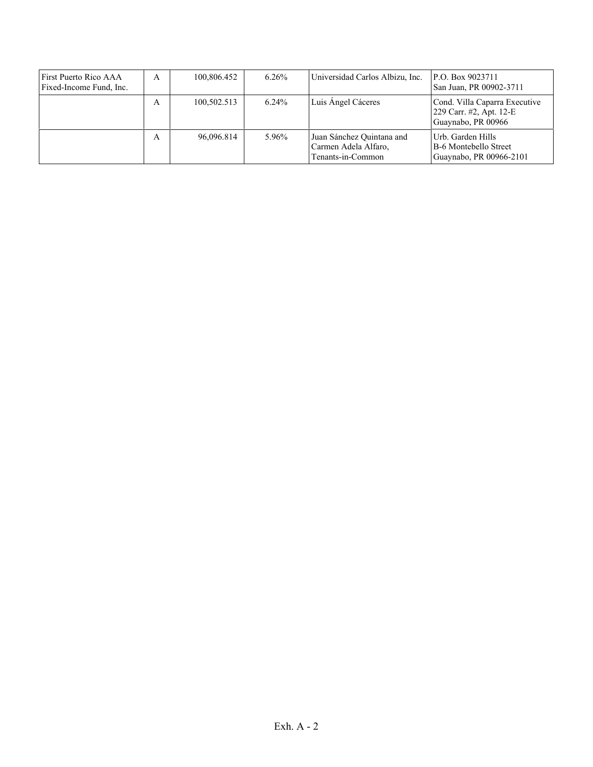| First Puerto Rico AAA<br>Fixed-Income Fund, Inc. | A | 100,806.452 | $6.26\%$ | Universidad Carlos Albizu, Inc.                                        | P.O. Box 9023711<br>San Juan, PR 00902-3711                                    |
|--------------------------------------------------|---|-------------|----------|------------------------------------------------------------------------|--------------------------------------------------------------------------------|
|                                                  | A | 100,502.513 | $6.24\%$ | Luis Angel Cáceres                                                     | Cond. Villa Caparra Executive<br>229 Carr. #2, Apt. 12-E<br>Guaynabo, PR 00966 |
|                                                  | A | 96.096.814  | 5.96%    | Juan Sánchez Quintana and<br>Carmen Adela Alfaro,<br>Tenants-in-Common | Urb. Garden Hills<br>B-6 Montebello Street<br>Guaynabo, PR 00966-2101          |